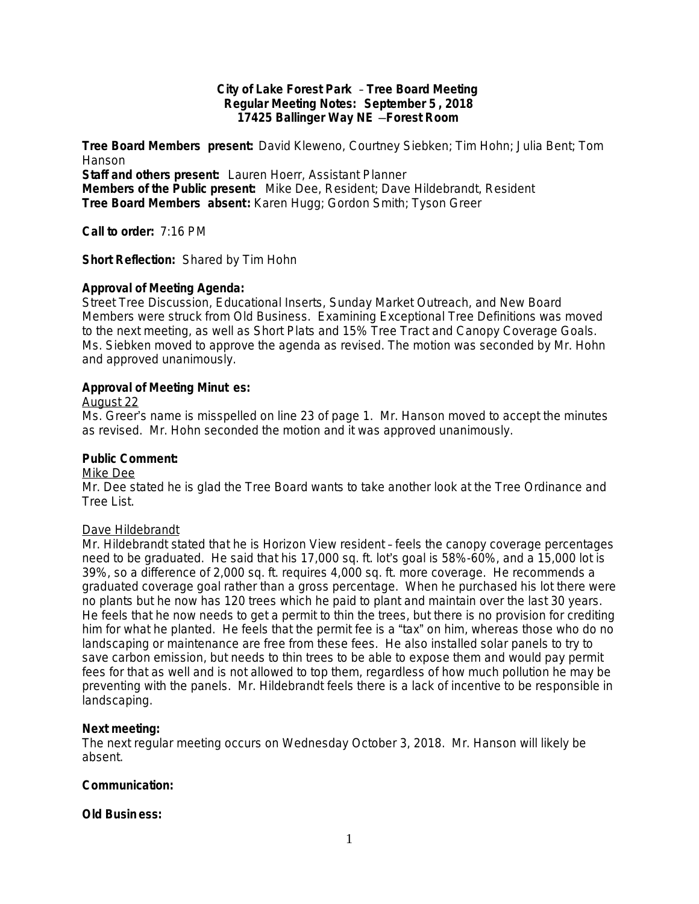## **City of Lake Forest Park** – **Tree Board Meeting Regular Meeting Notes: September 5 , 2018 17425 Ballinger Way NE** —**Forest Room**

**Tree Board Members present:** David Kleweno, Courtney Siebken; Tim Hohn; Julia Bent; Tom Hanson

**Staff and others present:** Lauren Hoerr, Assistant Planner

**Members of the Public present:** Mike Dee, Resident; Dave Hildebrandt, Resident **Tree Board Members absent:** Karen Hugg; Gordon Smith; Tyson Greer

**Call to order:** 7:16 PM

**Short Reflection:** Shared by Tim Hohn

## **Approval of Meeting Agenda:**

Street Tree Discussion, Educational Inserts, Sunday Market Outreach, and New Board Members were struck from Old Business. Examining Exceptional Tree Definitions was moved to the next meeting, as well as Short Plats and 15% Tree Tract and Canopy Coverage Goals. Ms. Siebken moved to approve the agenda as revised. The motion was seconded by Mr. Hohn and approved unanimously.

## **Approval of Meeting Minut es:**

## August 22

Ms. Greer's name is misspelled on line 23 of page 1. Mr. Hanson moved to accept the minutes as revised. Mr. Hohn seconded the motion and it was approved unanimously.

## **Public Comment:**

#### Mike Dee

Mr. Dee stated he is glad the Tree Board wants to take another look at the Tree Ordinance and Tree List.

## Dave Hildebrandt

Mr. Hildebrandt stated that he is Horizon View resident – feels the canopy coverage percentages need to be graduated. He said that his 17,000 sq. ft. lot's goal is 58%-60%, and a 15,000 lot is 39%, so a difference of 2,000 sq. ft. requires 4,000 sq. ft. more coverage. He recommends a graduated coverage goal rather than a gross percentage. When he purchased his lot there were no plants but he now has 120 trees which he paid to plant and maintain over the last 30 years. He feels that he now needs to get a permit to thin the trees, but there is no provision for crediting him for what he planted. He feels that the permit fee is a "tax" on him, whereas those who do no landscaping or maintenance are free from these fees. He also installed solar panels to try to save carbon emission, but needs to thin trees to be able to expose them and would pay permit fees for that as well and is not allowed to top them, regardless of how much pollution he may be preventing with the panels. Mr. Hildebrandt feels there is a lack of incentive to be responsible in landscaping.

## **Next meeting:**

The next regular meeting occurs on Wednesday October 3, 2018. Mr. Hanson will likely be absent.

## **Communication:**

## **Old Busin ess:**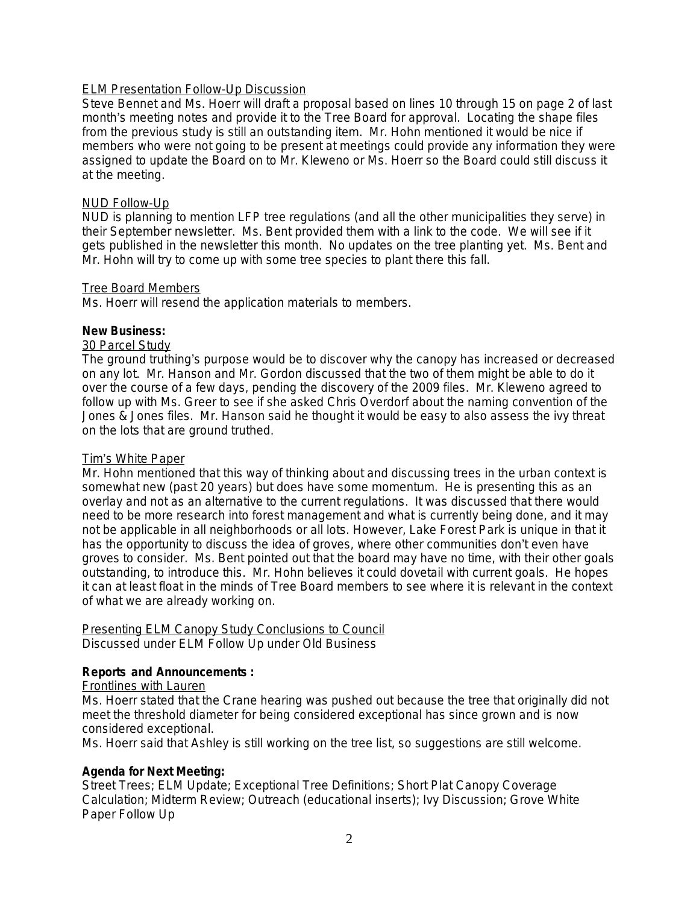## ELM Presentation Follow-Up Discussion

Steve Bennet and Ms. Hoerr will draft a proposal based on lines 10 through 15 on page 2 of last month's meeting notes and provide it to the Tree Board for approval. Locating the shape files from the previous study is still an outstanding item. Mr. Hohn mentioned it would be nice if members who were not going to be present at meetings could provide any information they were assigned to update the Board on to Mr. Kleweno or Ms. Hoerr so the Board could still discuss it at the meeting.

## NUD Follow-Up

NUD is planning to mention LFP tree regulations (and all the other municipalities they serve) in their September newsletter. Ms. Bent provided them with a link to the code. We will see if it gets published in the newsletter this month. No updates on the tree planting yet. Ms. Bent and Mr. Hohn will try to come up with some tree species to plant there this fall.

## Tree Board Members

Ms. Hoerr will resend the application materials to members.

## **New Business:**

## 30 Parcel Study

The ground truthing's purpose would be to discover why the canopy has increased or decreased on any lot. Mr. Hanson and Mr. Gordon discussed that the two of them might be able to do it over the course of a few days, pending the discovery of the 2009 files. Mr. Kleweno agreed to follow up with Ms. Greer to see if she asked Chris Overdorf about the naming convention of the Jones & Jones files. Mr. Hanson said he thought it would be easy to also assess the ivy threat on the lots that are ground truthed.

## Tim's White Paper

Mr. Hohn mentioned that this way of thinking about and discussing trees in the urban context is somewhat new (past 20 years) but does have some momentum. He is presenting this as an overlay and not as an alternative to the current regulations. It was discussed that there would need to be more research into forest management and what is currently being done, and it may not be applicable in all neighborhoods or all lots. However, Lake Forest Park is unique in that it has the opportunity to discuss the idea of groves, where other communities don't even have groves to consider. Ms. Bent pointed out that the board may have no time, with their other goals outstanding, to introduce this. Mr. Hohn believes it could dovetail with current goals. He hopes it can at least float in the minds of Tree Board members to see where it is relevant in the context of what we are already working on.

# Presenting ELM Canopy Study Conclusions to Council

Discussed under ELM Follow Up under Old Business

## **Reports and Announcements :**

## Frontlines with Lauren

Ms. Hoerr stated that the Crane hearing was pushed out because the tree that originally did not meet the threshold diameter for being considered exceptional has since grown and is now considered exceptional.

Ms. Hoerr said that Ashley is still working on the tree list, so suggestions are still welcome.

## **Agenda for Next Meeting:**

Street Trees; ELM Update; Exceptional Tree Definitions; Short Plat Canopy Coverage Calculation; Midterm Review; Outreach (educational inserts); Ivy Discussion; Grove White Paper Follow Up